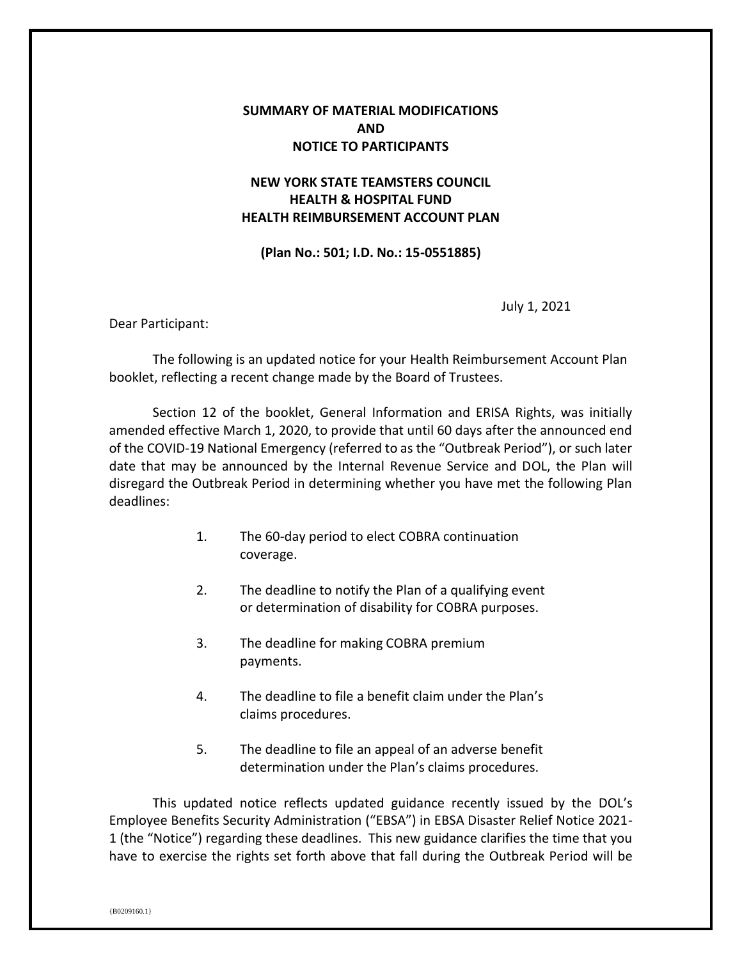## **SUMMARY OF MATERIAL MODIFICATIONS AND NOTICE TO PARTICIPANTS**

## **NEW YORK STATE TEAMSTERS COUNCIL HEALTH & HOSPITAL FUND HEALTH REIMBURSEMENT ACCOUNT PLAN**

**(Plan No.: 501; I.D. No.: 15-0551885)**

July 1, 2021

Dear Participant:

The following is an updated notice for your Health Reimbursement Account Plan booklet, reflecting a recent change made by the Board of Trustees.

Section 12 of the booklet, General Information and ERISA Rights, was initially amended effective March 1, 2020, to provide that until 60 days after the announced end of the COVID-19 National Emergency (referred to as the "Outbreak Period"), or such later date that may be announced by the Internal Revenue Service and DOL, the Plan will disregard the Outbreak Period in determining whether you have met the following Plan deadlines:

- 1. The 60-day period to elect COBRA continuation coverage.
- 2. The deadline to notify the Plan of a qualifying event or determination of disability for COBRA purposes.
- 3. The deadline for making COBRA premium payments.
- 4. The deadline to file a benefit claim under the Plan's claims procedures.
- 5. The deadline to file an appeal of an adverse benefit determination under the Plan's claims procedures.

This updated notice reflects updated guidance recently issued by the DOL's Employee Benefits Security Administration ("EBSA") in EBSA Disaster Relief Notice 2021- 1 (the "Notice") regarding these deadlines. This new guidance clarifies the time that you have to exercise the rights set forth above that fall during the Outbreak Period will be